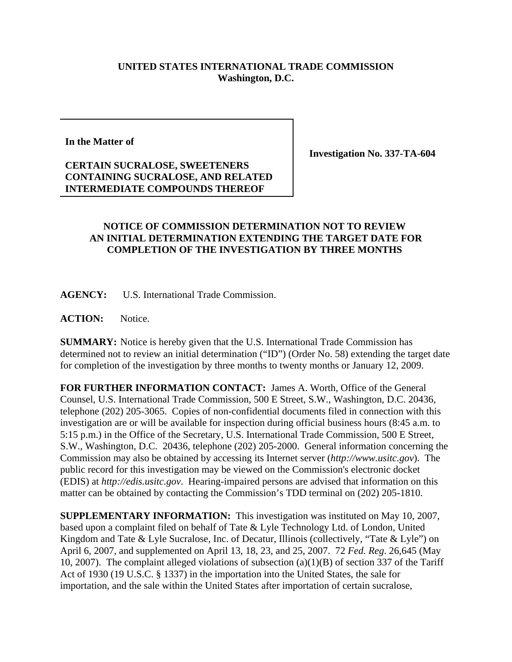## **UNITED STATES INTERNATIONAL TRADE COMMISSION Washington, D.C.**

**In the Matter of**

## **CERTAIN SUCRALOSE, SWEETENERS CONTAINING SUCRALOSE, AND RELATED INTERMEDIATE COMPOUNDS THEREOF**

**Investigation No. 337-TA-604**

## **NOTICE OF COMMISSION DETERMINATION NOT TO REVIEW AN INITIAL DETERMINATION EXTENDING THE TARGET DATE FOR COMPLETION OF THE INVESTIGATION BY THREE MONTHS**

**AGENCY:** U.S. International Trade Commission.

**ACTION:** Notice.

**SUMMARY:** Notice is hereby given that the U.S. International Trade Commission has determined not to review an initial determination ("ID") (Order No. 58) extending the target date for completion of the investigation by three months to twenty months or January 12, 2009.

**FOR FURTHER INFORMATION CONTACT:** James A. Worth, Office of the General Counsel, U.S. International Trade Commission, 500 E Street, S.W., Washington, D.C. 20436, telephone (202) 205-3065. Copies of non-confidential documents filed in connection with this investigation are or will be available for inspection during official business hours (8:45 a.m. to 5:15 p.m.) in the Office of the Secretary, U.S. International Trade Commission, 500 E Street, S.W., Washington, D.C. 20436, telephone (202) 205-2000. General information concerning the Commission may also be obtained by accessing its Internet server (*http://www.usitc.gov*). The public record for this investigation may be viewed on the Commission's electronic docket (EDIS) at *http://edis.usitc.gov*. Hearing-impaired persons are advised that information on this matter can be obtained by contacting the Commission's TDD terminal on (202) 205-1810.

**SUPPLEMENTARY INFORMATION:** This investigation was instituted on May 10, 2007, based upon a complaint filed on behalf of Tate & Lyle Technology Ltd. of London, United Kingdom and Tate & Lyle Sucralose, Inc. of Decatur, Illinois (collectively, "Tate & Lyle") on April 6, 2007, and supplemented on April 13, 18, 23, and 25, 2007. 72 *Fed. Reg*. 26,645 (May 10, 2007). The complaint alleged violations of subsection (a)(1)(B) of section 337 of the Tariff Act of 1930 (19 U.S.C. § 1337) in the importation into the United States, the sale for importation, and the sale within the United States after importation of certain sucralose,